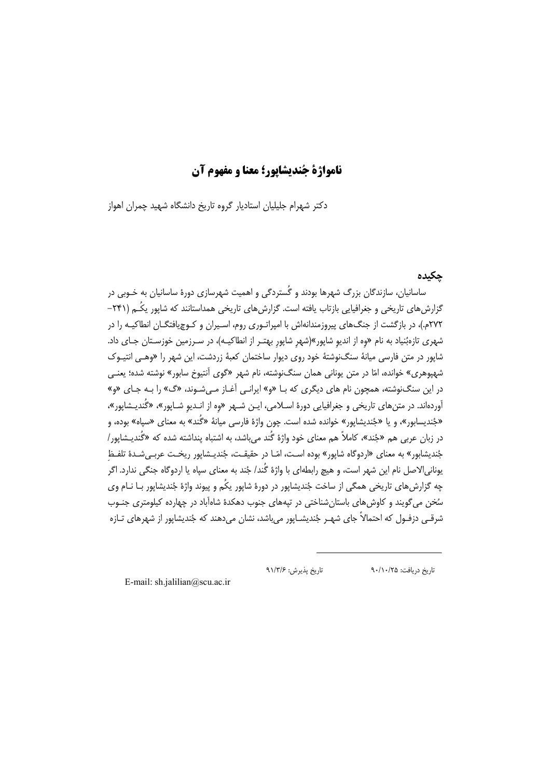# نامواژة جُنديشايور؛ معنا و مفهوم آن

دکتر شهرام جلیلیان استادیار گروه تاریخ دانشگاه شهید چمران اهواز

### چکیدہ

ساسانیان، سازندگان بزرگ شهرها بودند و گُستردگی و اهمیت شهرسازی دورهٔ ساسانیان به خـوبی در گزارش های تاریخی و جغرافیایی بازتاب یافته است. گزارش های تاریخی همداستانند که شایور یکُـم (۲۴۱– ۲۷۲م.)، در بازگشت از جنگ های پیروزمندانهاش با امپراتـوری روم، اسـیران و کـوچیافتگـان انطاکیـه را در شهری تازهبُنیاد به نام «وه از اندیو شاپور»(شهر شاپور بهتـر از انطاکیـه)، در سـرزمین خوزسـتان جـای داد. شاپور در متن فارسی میانهٔ سنگنوشتهٔ خود روی دیوار ساختمان کعبهٔ زردشت، این شهر را «وهـی انتیـوک شهپوهري» خوانده، امّا در متن يوناني همان سنگنوشته، نام شهر «گوي آنتيوخ سابور» نوشته شده؛ يعنـي در این سنگنوشته، همچون نام های دیگری که بـا «و» ایرانـی آغـاز مـیشـوند، «گ» را بـه جـای «و» آوردهاند. در متن های تاریخی و جغرافیایی دورهٔ اسـلامی، ایـن شـهر «وه از انـدیو شـاپور»، «گُندیـشاپور»، «جُنديسابور»، و يا «جُنديشاپور» خوانده شده است. چون واژهٔ فارسی ميانهٔ «گُند» به معنای «سياه» بوده، و در زبان عربی هم «جُند»، کاملاً هم معنای خود واژهٔ گُند می باشد، به اشتباه پنداشته شده که «گُندیـشاپور/ جُندیشابور» به معنای «اردوگاه شایور» بوده است، امّـا در حقیقـت، جُندیـشایور ریخـت عربـی شـدهٔ تلفـظ یونانی|لاصل نام این شهر است، و هیچ رابطهای با واژهٔ گُند/ جُند به معنای سیاه یا اردوگاه جنگی ندارد. اگر چه گزارش های تاریخی همگی از ساخت جُندیشاپور در دورهٔ شاپور یکُم و پیوند واژهٔ جُندیشاپور بـا نــام وی سُخن می گویند و کاوش های باستان شناختی در تیههای جنوب دهکدهٔ شاهآباد در چهارده کیلومتری جنـوب شرقـي دزفـول که احتمالاً جاي شهـر جُنديشـايور مي،باشد، نشان مي،دهند که جُنديشايور از شهرهاي تـازه

تاريخ پذيرش: ۹۱/۳/۶

تاريخ دريافت: ٩٠/١٠/٢۵

E-mail: sh.jalilian@scu.ac.ir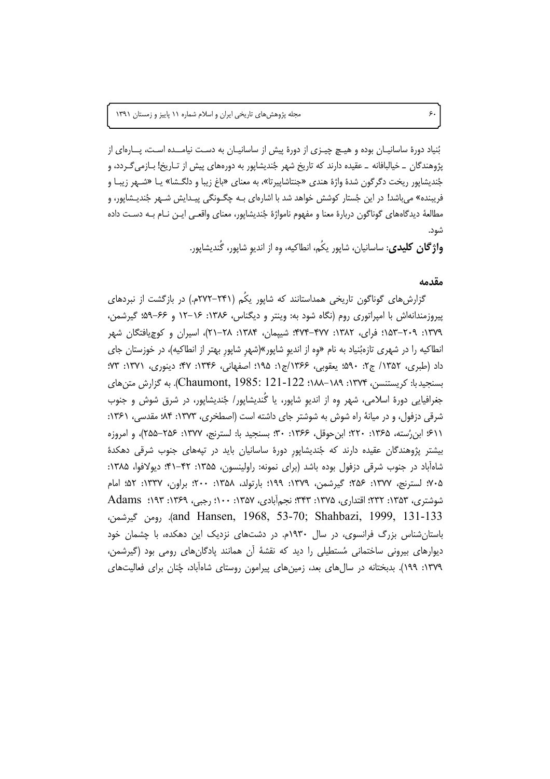بُنیاد دورهٔ ساسانیـان بوده و هیـچ چیـزی از دورهٔ پیش از ساسانیـان به دسـت نیامــده اسـت، پــارهای از پژوهندگان \_ خیالبافانه \_ عقیده دارند که تاریخ شهر جُندیشاپور به دورههای پیش از تـاریخ! بـازمی5ـردد، و جُنديشاپور ريخت دگرگون شدهٔ واژهٔ هندي «جنتاشاپيرتا»، به معناي «باغ زيبا و دلگـشا» يــا «شــهر زيبــا و فریبنده» می باشد! در این جُستار کوشش خواهد شد با اشارهای بـه چگـونگی پیـدایش شـهر جُندیـشاپور، و مطالعهٔ دیدگاههای گوناگون دربارهٔ معنا و مفهوم نامواژهٔ جُندیشاپور، معنای واقعـی ایـن نــام بــه دســت داده شود.

**واژگان کلیدی**: ساسانیان، شاپور یکُم، انطاکیه، وه از اندیو شاپور، گُندیشاپور.

### مقدمه

گزارش های گوناگون تاریخی همداستانند که شایور یکُم (۲۴۱–۲۷۲م.) در بازگشت از نبردهای پیروزمندانهاش با امپراتوری روم (نگاه شود به: وینتر و دیگناس، ۱۳۸۶: ۱۶–۱۲ و ۶۶–۵۹؛ گیرشمن، ۱۳۷۹: ۲۰۹–۱۵۳: فرای، ۱۳۸۲: ۴۷۷–۴۷۴: شیپمان، ۱۳۸۴: ۲۸–۲۱)، اسیران و کوچیافتگان شهر انطاکیه را در شهری تازهبُنیاد به نام «وه از اندیو شاپور»(شهر شاپور بهتر از انطاکیه)، در خوزستان جای داد (طبري، ١٣۵٢/ ج٢: ۵۹۰؛ يعقوبي، ۱۳۶۶/ج۱: ۱۹۵؛ اصفهاني، ۱۳۴۶: ۴۷؛ دينوري، ١٣٧١: ٧٣: بسنجیدبا: کریستنسن، ۱۳۷۴: ۱۸۹–۱۸۸؛ Laumont, 1985: 121-122). به گزارش متن های جغرافیایی دورهٔ اسلامی، شهر وه از اندیو شاپور، یا گَندیشاپور/ جُندیشاپور، در شرق شوش و جنوب شرقی دزفول، و در میانهٔ راه شوش به شوشتر جای داشته است (اصطخری، ۱۳۷۳: ۸۴؛ مقدسی، ۱۳۶۱: ٤١١؛ ابن رُسته، ١٣۶۵: ٢٢٠؛ ابن حوقل، ١٣۶۶: ٣٠؛ بسنجيد با: لسترنج، ١٣٧٧: ٢۵۶–٢۵۵)، و امروزه بیشتر پژوهندگان عقیده دارند که جُندیشاپور دورهٔ ساسانیان باید در تیههای جنوب شرقی دهکدهٔ شاهآباد در جنوب شرقی دزفول بوده باشد (برای نمونه: راولینسون، ۱۳۵۵: ۴۲–۴۱؛ دیولافوا، ۱۳۸۵: ۷۰۵؛ لسترنج، ۱۳۷۷: ۲۵۶؛ گیرشمن، ۱۳۷۹: ۱۹۹؛ بارتولد، ۱۳۵۸: ۲۰۰؛ براون، ۱۳۳۷: ۵۲؛ امام شوشتري، ۱۳۵۳: ۲۳۲؛ اقتداري، ۱۳۷۵: ۲۴۳؛ نجم|ًبادي، ۱۳۵۷: ۱۰۰؛ رجبي، ۱۳۶۹: Adams ) and Hansen, 1968, 53-70; Shahbazi, 1999, 131-133). رومن گیرشمن، باستان شناس بزرگ فرانسوی، در سال ۱۹۳۰م. در دشتهای نزدیک این دهکده، با چشمان خود دیوارهای بیرونی ساختمانی مُستطیلی را دید که نقشهٔ آن همانند یادگانهای رومی بود (گیرشمن، ۱۳۷۹: ۱۹۹). بدبختانه در سال@ای بعد، زمینهای پیرامون روستای شاهآباد، چُنان برای فعالیتهای

۶٠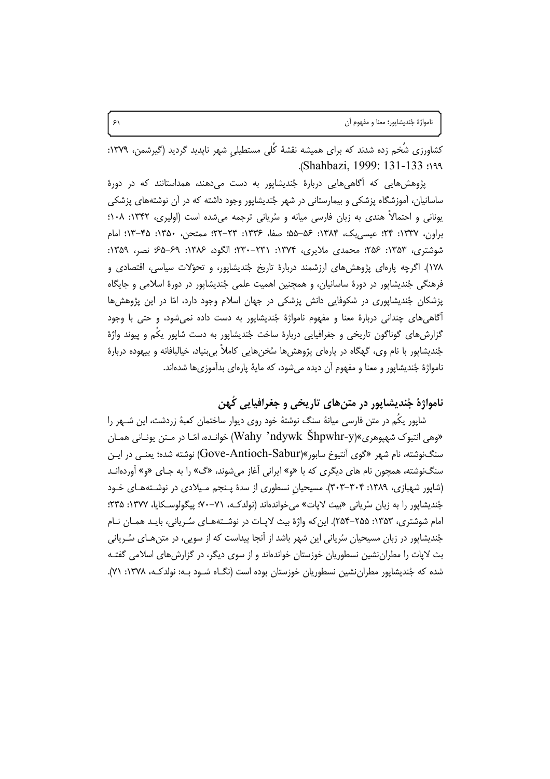نامواژهٔ جُنديشاپور؛ معنا و مفهوم آن

کشاورزی شُخم زده شدند که برای همیشه نقشهٔ کُلی مستطیلی شهر نایدید گردید (گیرشمن، ۱۳۷۹: Shahbazi, 1999: 131-133.

پژوهش هایی که اگاهی هایی دربارهٔ جُندیشاپور به دست می،دهند، همداستانند که در دورهٔ ساسانیان، آموزشگاه پزشکی و بیمارستانی در شهر جُندیشاپور وجود داشته که در آن نوشتههای پزشکی یونانی و احتمالاً هندی به زبان فارسی میانه و سُریانی ترجمه می شده است (اولیری، ۱۳۴۲: ۱۰۸؛ براون، ١٣٣٧: ٢۴؛ عيسىبك، ١٣٨۴: ۵۶–۵۵؛ صفا، ١٣٣۶: ٢٣–٢٢؛ ممتحن، ١٣۵٠: ۴۵–١٣؛ امام شوشتري، ١٣۵٣: ٢۵۶: محمدي ملايري، ١٣٧۴: ٢٣١-٢٣٠: الگود، ١٣٨۶: ۶۹-۶۵؛ نصر، ١٣۵٩: ۱۷۸). اگرچه پارهای پژوهش های ارزشمند دربارهٔ تاریخ جُندیشاپور، و تحوّلات سیاسی، اقتصادی و فرهنگی جُندیشاپور در دورهٔ ساسانیان، و همچنین اهمیت علمی جُندیشاپور در دورهٔ اسلامی و جایگاه پزشکان جُندیشاپوری در شکوفایی دانش پزشکی در جهان اسلام وجود دارد، امّا در این پژوهشها اًگاهی های چندانی دربارهٔ معنا و مفهوم نامواژهٔ جُندیشاپور به دست داده نمی شود، و حتی با وجود گزارش های گوناگون تاریخی و جغرافیایی دربارهٔ ساخت جُندیشاپور به دست شاپور یکُم و پیوند واژهٔ جُنديشايور با نام وي، گهگاه در پارهاي پژوهش ها سُخن هايي كاملاً بي بنياد، خيالبافانه و بيهوده دربارهٔ نامواژهٔ جُندیشاپور و معنا و مفهوم آن دیده میشود، که مایهٔ پارهای بدآموزیها شدهاند.

# نامواژهٔ جُنديشايور در متن هاي تاريخي و جغرافيايي کُهن

شاپور یکُم در متن فارسی میانهٔ سنگ نوشتهٔ خود روی دیوار ساختمان کعبهٔ زردشت، این شـهر را «وهي انتيوک شهيوهري»(Wahy 'ndywk Shpwhr-y) خوانـده، امّـا در مـتن يونـاني همـان سنگنوشته، نام شهر «گوی آنتیوخ سابور»(Gove-Antioch-Sabur) نوشته شده؛ یعنبی در ایـن سنگنوشته، همچون نام های دیگری که با «و» ایرانی آغاز می شوند، «گ» را به جـای «و» آوردهانـد (شاپور شهبازی، ۱۳۸۹: ۳۰۴–۳۰۳). مسیحیان نسطوری از سدهٔ پـنجم مـیلادی در نوشـتههـای خـود جُندیشاپور را به زبان سُریانی «بیث لایات» می خواندهاند (نولدکـه، ۷۱–۷۰؛ پیگولوسـکایا، ۱۳۷۷: ۲۳۵؛ امام شوشتری، ۱۳۵۳: ۲۵۵–۲۵۴). این که واژهٔ بیث لاپـات در نوشـتههـای سُـریانی، بایـد همـان نـام جُندیشاپور در زبان مسیحیان سُریانی این شهر باشد از آنجا پیداست که از سویی، در متن هـای سُـریانی بث لاپات را مطران نشین نسطوریان خوزستان خواندهاند و از سوی دیگر، در گزارش های اسلامی گفتـه شده که جُندیشایور مطران نشین نسطوریان خوزستان بوده است (نگــاه شــود بــه: نولدکــه، ۱۳۷۸: ۷۱).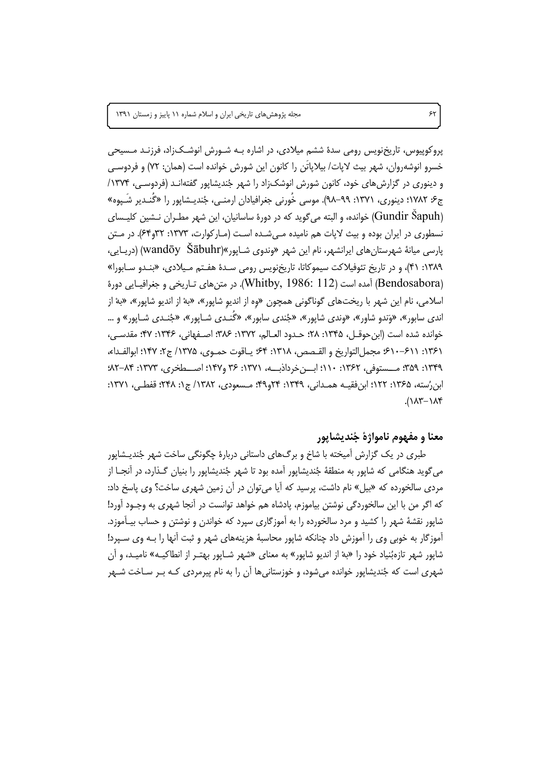مجله پژوهش های تاریخی ایران و اسلام شماره ۱۱ پاییز و زمستان ۱۳۹۱

پروکوپیوس، تاریخنویس رومی سدهٔ ششم میلادی، در اشاره بـه شـورش انوشـک;اد، فرزنـد مـسیحی خسرو انوشەروان، شهر بيث لايات/ بيلاياتَن را كانون اين شورش خوانده است (همان: ٧٢) و فردوسے و دینوری در گزارش های خود، کانون شورش انوشک;اد را شهر جُندیشاپور گفتهانـد (فردوسـی، ۱۳۷۴/ ج۶: ۱۷۸۲؛ دینوری، ۱۳۷۱: ۹۹–۹۸). موسی خُورنی جغرافیادان ارمنـی، جُندیـشاپور را «گُنـدیر شَـیوه» (Gundir Sapuh) خوانده، و البته می گوید که در دورهٔ ساسانیان، این شهر مطـران نــشین کلیــسای نسطوری در ایران بوده و بیث لاپات هم نامیده مهیشده است (مـارکوارت، ۱۳۷۳: ۳۲و۶۴). در مـتن یارسی میانهٔ شهرستان های ایرانشهر، نام این شهر «وندوی شـایور»(wandōy Šābuhr) (دریـایی، ٬۱۳۸۹ ۴۱)، و در تاریخ تئوفیلاکت سیموکاتا، تاریخنویس رومی سـدهٔ هفـتم مـیلادی، «بنـدو سـابورا» (Bendosabora) آمده است (Whitby, 1986: 112). در متن های تـاریخی و جغرافیـایی دورهٔ اسلامی، نام این شهر با ریختهای گوناگونی همچون «وه از اندیو شاپور»، «بهْ از اندیو شاپور»، «بهْ از اندې سابور»، «وَندو شاور»، «وندې شاپور»، «جُندي سابور»، «گُنـدي شـاپور»، «جُنـدي شـاپور» و … خوانده شده است (ابن حوقــل، ۱۳۴۵: ۲۸؛ حــدود العــالم، ۱۳۷۲: ۳۸۶؛ اصــفهاني، ۱۳۴۶: ۴۷؛ مقدســي، ١٣۶١: ٤١٠-٤١٠٠ مجمل|لتواريخ و القـصص، ١٣١٨: ٤۴: يـاقوت حمـوي، ١٣٧۵/ ج٢: ١۴٧؛ ابوالفـداء، ١٣٣٩: ٣۵٩: مــستوفى، ١٣۶٢: ١١٠: ابــنخرداذبــه، ١٣٧١: ٣۶ و١٩٧: اصـــطخرى، ١٣٧٣: ٨٢-٨٢: ابن,رُسته، ۱۳۶۵: ۱۲۲؛ ابن فقیــه همــدانی، ۱۳۴۹: ۲۴و۴۹؛ مــسعودی، ۱۳۸۲/ ج۱: ۲۴۸؛ قفطــی، ۱۳۷۱:  $\Lambda$ ۲-۱۸۴

## معنا و مفهوم نامواژهٔ جُنديشايور

طبری در یک گزارش اَمیخته با شاخ و برگ@ای داستانی دربارهٔ چگونگی ساخت شهر جُندیـشاپور می گوید هنگامی که شاپور به منطقهٔ جُندیشاپور آمده بود تا شهر جُندیشاپور را بنیان گـذارد، در آنجــا از مردی سالخورده که «بیل» نام داشت، پرسید که آیا می توان در آن زمین شهری ساخت؟ وی پاسخ داد: که اگر من با این سالخوردگی نوشتن بیاموزم، یادشاه هم خواهد توانست در آنجا شهری به وجـود آورد! شاپور نقشهٔ شهر را کشید و مرد سالخورده را به آموزگاری سپرد که خواندن و نوشتن و حساب بیـآموزد. آموزگار به خوبی وی را آموزش داد چنانکه شاپور محاسبهٔ هزینههای شهر و ثبت آنها را بـه وی سـپرد! شاپور شهر تازهبُنیاد خود را «بهْ از اندیو شاپور» به معنای «شهر شـاپور بهتـر از انطاکیــه» نامیـد، و آن شهری است که جُندیشاپور خوانده می شود، و خوزستانی ها آن را به نام پیرمردی کـه بـر سـاخت شــهر

 $55$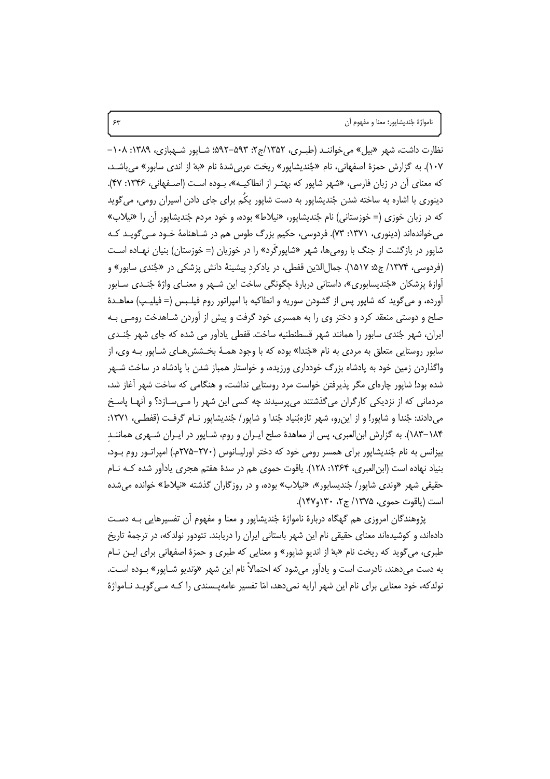نظارت داشت، شهر «بیل» می خواننـد (طبـری، ۱۳۵۲/ج۲: ۵۹۳–۵۹۲: شـایور شـهبازی، ۱۳۸۹: ۱۰۸– ۱۰۷). به گزارش حمزهٔ اصفهانی، نام «جُندیشاپور» ریخت عربی شدهٔ نام «بهْ از اندی سابور» می باشـد، که معنای آن در زبان فارسی، «شهر شاپور که بهتـر از انطاکیــه»، بــوده اسـت (اصــفهانی، ۱۳۴۶: ۴۷). دینوری با اشاره به ساخته شدن جُندیشاپور به دست شاپور یکُم برای جای دادن اسپران رومی، میگوید که در زبان خوزی (= خوزستانی) نام جُندیشایور، «نیلاط» بوده، و خود مردم جُندیشایور آن را «نیلاب» می خواندهاند (دینوری، ۱۳۷۱: ۷۳). فردوسی، حکیم بزرگ طوس هم در شـاهنامهٔ خــود مــی گویــد کــه شاپور در بازگشت از جنگ با رومی ها، شهر «شاپورگَرد» را در خوزیان (= خوزستان) بنیان نهـاده اسـت (فردوسي، ۱۳۷۴/ ج۵: ۱۵۱۷). جمالالدّين قفطي، در يادكرد پيشينهٔ دانش پزشكي در «جُندي سابور» و آوازهٔ پزشکان «جُندیسابوری»، داستانی دربارهٔ چگونگی ساخت این شـهر و معنــای واژهٔ جُنـدی ســابور أورده، و میگوید که شاپور پس از گشودن سوریه و انطاکیه با امپراتور روم فیلـبس (= فیلیـپ) معاهـدهٔ صلح و دوستی منعقد کرد و دختر وی را به همسری خود گرفت و پیش از آوردن شـاهدخت رومـی بـه ايران، شهر جُندي سابور را همانند شهر قسطنطنيه ساخت. قفطي يادآور مي شده كه جاي شهر جُنـدي سابور روستایی متعلق به مردی به نام «جُندا» بوده که با وجود همـهٔ بخــشش هـای شــایور بــه وی، از واگذاردن زمین خود به پادشاه بزرگ خودداری ورزیده، و خواستار همباز شدن با پادشاه در ساخت شـهر شده بود! شاپور چارهای مگر پذیرفتن خواست مرد روستایی نداشت، و هنگامی که ساخت شهر آغاز شد، مردمانی که از نزدیکی کارگران می گذشتند می پرسیدند چه کسی این شهر را مـی،سـازد؟ و آنهـا پاسـخ میدادند: جُندا و شاپور! و از این٫رو، شهر تازهبُنیاد جُندا و شاپور/ جُندیشاپور نـام گرفـت (قفطـی، ۱۳۷۱: ۱۸۴–۱۸۳). به گزارش ابنالعبری، پس از معاهدهٔ صلح ایـران و روم، شــاپور در ایـران شــهری هماننــد بیزانس به نام جُندیشاپور برای همسر رومی خود که دختر اورلیـانوس (٢٧٠-٢٧۵م.) امپراتـور روم بـود، بنیاد نهاده است (ابن|لعبری، ۱۳۶۴: ۱۲۸). یاقوت حموی هم در سدهٔ هفتم هجری یادآور شده کـه نـام حقیقی شهر «وندی شاپور/ جُندیسابور»، «نیلاب» بوده، و در روزگاران گذشته «نیلاط» خوانده می شده است (یاقوت حموی، ۱۳۷۵/ ج۲، ۱۴۰و۱۴۷).

پژوهندگان امروزی هم گهگاه دربارهٔ نامواژهٔ جُندیشاپور و معنا و مفهوم آن تفسیرهایی بـه دسـت دادهاند، و کوشیدهاند معنای حقیقی نام این شهر باستانی ایران را دریابند. تئودور نولدکه، در ترجمهٔ تاریخ طبري، مي گويد كه ريخت نام «بهْ از انديو شايور» و معنايي كه طبري و حمزهٔ اصفهاني براي ايـن نــام به دست مي<هند، نادرست است و يادآور مي شود كه احتمالاً نام اين شهر «وَنديو شـايور» بـوده اسـت. نولدکه، خود معنایی برای نام این شهر ارایه نمی،دهد، امّا تفسیر عامهپـسندی را کـه مـی گویـد نــامواژهٔ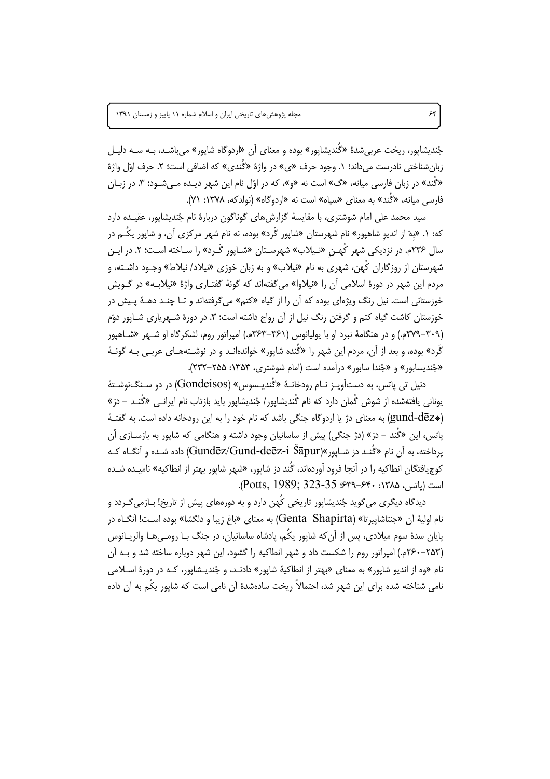جُنديشاپور، ريخت عربي شدهٔ «گُنديشاپور» بوده و معناي آن «اردوگاه شاپور» مي باشـد، بـه سـه دليـل زبان(شناختے, نادرست مے داند؛ ۱. وجود حرف «ی» در واژهٔ «گُندی» که اضافی است؛ ۲. حرف اوّل واژهٔ «گُند» در زبان فارسی میانه، «گ» است نه «و»، که در اوّل نام این شهر دیـده مـی شـود؛ ۳. در زبـان فارسه مانه، «گُند» به معنای «سیاه» است نه «اردوگاه» (نولدکه، ۱۳۷۸: ۷۱).

سید محمد علی امام شوشتری، با مقایسهٔ گزارش های گوناگون دربارهٔ نام جُندیشاپور، عقیـده دارد که: ۱. «بهْ از اندیو شاهپور» نام شهرستان «شاپور گَرد» بوده، نه نام شهر مرکزی آن، و شاپور یکُـم در سال ۲۳۶م. در نزدیکی شهر کُهـن «نـیلاب» شهرسـتان «شـایور گَـرد» را سـاخته اسـت؛ ۲. در ایـن شهرستان از روزگاران کُهن، شهری به نام «نیلاب» و به زبان خوزی «نیلاد/ نیلاط» وجـود داشـته، و مردم این شهر در دورهٔ اسلامی آن را «نیلاوا» میگفتهاند که گونهٔ گفتـاری واژهٔ «نیلابـه» در گـویش خوزستانی است. نیل رنگ ویژهای بوده که آن را از گیاه «کتم» می گرفتهاند و تـا چنـد دهــهٔ پـیش در خوزستان کاشت گیاه کتم و گرفتن رنگ نیل از آن رواج داشته است؛ ۳. در دورهٔ شـهریاری شـاپور دوّم (۳۰۹–۳۷۹م.) و در هنگامهٔ نبرد او با پولیانوس (۳۶۱–۳۶۳م.) امپراتور روم، لشکرگاه او شـهر «شـاهیور گَرد» بوده، و بعد از آن، مردم این شهر را «گُنده شایور» خواندهانـد و در نوشـتههـای عربـی بـه گونـهٔ «جُنديسابور» و «جُندا سابور» درآمده است (امام شوشتري، ١٣۵٣: ٢٥۵-٢٣٢).

دنیل تی پاتس، به دستآویـز نـام رودخانـهٔ «گُندیـسوس» (Gondeisos) در دو سـنگ نوشـتهٔ بونانی بافتهشده از شوش گُمان دارد که نام گُندیشایور/ جُندیشایور باید بازتاب نام ایرانبی «گُنـد – دز» (#gund-dēz) به معنای دژ یا اردوگاه جنگی باشد که نام خود را به این رودخانه داده است. به گفتـهٔ یاتس، این «گُند – د; » (دژ جنگی) پیش از ساسانیان وجود داشته و هنگامی که شاپور به بازسـازی آن یرداخته، به آن نام «گُنـد دز شـایور»(Gundēz/Gund-deēz-i Šāpur) داده شـده و آنگـاه کـه کوچیافتگان انطاکیه را در آنجا فرود آوردهاند، گُند دز شاپور، «شهر شاپور بهتر از انطاکیه» نامیـده شـده است (باتس، ۱۳۸۵: ۴۴۰–۶۳۹، Potts, 1989; 323-35).

دیدگاه دیگری می گوید جُندیشاپور تاریخی کُهن دارد و به دورههای پیش از تاریخ! بـازمی *گـ*ردد و نام اوليهٔ آن «جنتاشاييرتا» (Genta Shapirta) به معناي «باغ زيبا و دلگشا» بوده اسـت! آنگــاه در پایان سدهٔ سوم میلادی، پس از آن که شاپور یکُم، پادشاه ساسانیان، در جنگ بـا رومـی هـا والریــانوس (۲۵۳-۲۶۰م.) امیراتور روم را شکست داد و شهر انطاکیه را گشود، این شهر دوباره ساخته شد و پـه آن نام «وه از اندیو شایور» به معنای «بهتر از انطاکیهٔ شایور» دادنـد، و جُندیـشایور، کـه در دورهٔ اسـلامی نامے شناخته شده برای ابن شهر شد، احتمالاً ریخت سادهشدهٔ اَن نامے است که شایور یکُم به اَن داده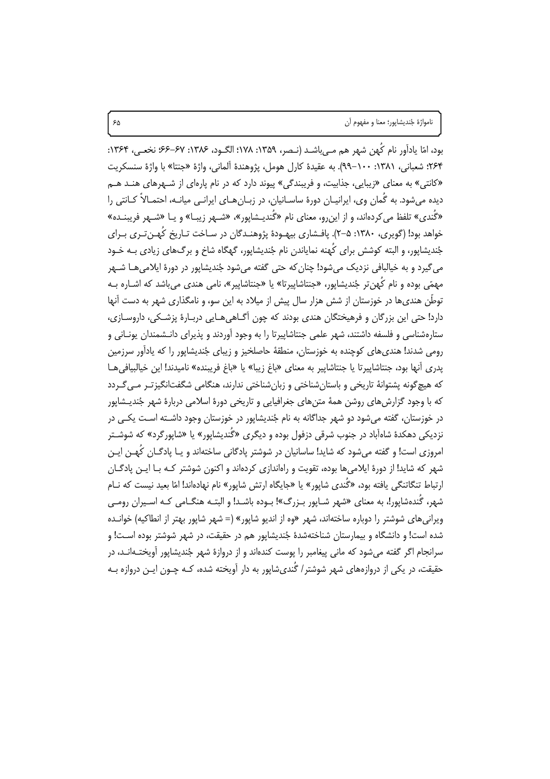بود، امّا يادآور نام كُهن شهر هم مـ إباشـد (نـصر، ١٣۵٩: ١٧٨؛ الگـود، ١٣٨۶: ۶۷–۶۶؛ نخعـي، ١٣۶۴: ۲۶۴: شعباني، ۱۳۸۱: ۱۰۰–۹۹). به عقيدة كارل هومل، يژوهندة آلماني، واژة «جنتا» با واژة سنسكريت «کانتی» به معنای «زیبایی، جذابیت، و فریبندگی» پیوند دارد که در نام پارهای از شـهرهای هنـد هـم دیده می شود. به گُمان وی، ایرانیـان دورهٔ ساسـانیان، در زبـان۱هـای ایرانـی میانــه، احتمـالاً کـانتی را «گُندي» تلفظ مي كردهاند، و از اين و، معناي نام «گُنديـشاپور»، «شــهر زيبـا» و يـا «شــهر فريبنــده» خواهد بود! (گویری، ۱۳۸۰: ۵–۲). پافـشاری بیهـودهٔ پژوهنـدگان در سـاخت تـاریخ کُهـنتـری بـرای جُنديشاپور، و البته کوشش براي کُهنه نماياندن نام جُنديشاپور، گهگاه شاخ و برگ&اي زيادي بـه خـود مي گيرد و به خيالبافي نزديک مي شود! چنان که حتى گفته مي شود جُنديشاپور در دورهٔ ايلامي هـا شــهر مهمّی بوده و نام کُهنِ تر جُندیشاپور، «جنتاشاپیرتا» یا «جنتاشاپیر»، نامی هندی میباشد که اشــاره بــه توطِّن هندی ها در خوزستان از شش هزار سال پیش از میلاد به این سو، و نامگذاری شهر به دست آنها دارد! حتی این بزرگان و فرهیختگان هندی بودند که چون آگـاهیِ هـاییِ دربـارهٔ پزشـکی، داروسـازی، ستارهشناسی و فلسفه داشتند، شهر علمی جنتاشاییرتا را به وجود آوردند و پذیرای دانـشمندان پونــانی و رومي شدند! هندي هاي كوچنده به خوزستان، منطقهٔ حاصلخيز و زيباي جُنديشاپور را كه يادآور سرزمين يدري أنها بود، جنتاشاييرتا يا جنتاشايير به معناي «باغ زيبا» يا «باغ فريبنده» ناميدند! اين خيالبيافي هـا که هیچ گونه پشتوانهٔ تاریخی و باستان شناختی و زبان شناختی ندارند، هنگامی شگفتانگیزت رمی گـردد که با وجود گزارش های روشن همهٔ متن های جغرافیایی و تاریخی دورهٔ اسلامی دربارهٔ شهر جُندیــشاپور در خوزستان، گفته میشود دو شهر جداگانه به نام جُندیشاپور در خوزستان وجود داشـته اسـت یکـی در نزدیکی دهکدهٔ شاهآباد در جنوب شرقی دزفول بوده و دیگری «گُندیشاپور» یا «شاپورگرد» که شوشـتر امروزي است! و گفته مي شود كه شايد! ساسانيان در شوشتر يادگاني ساختهاند و يـا يادگــان كُهــن ايــن شهر که شاید! از دورهٔ ایلامی ها بوده، تقویت و راهاندازی کردهاند و اکنون شوشتر کـه بـا ایـن یادگـان ارتباط تنگاتنگی یافته بود، «گُندی شاپور» یا «جایگاه ارتش شاپور» نام نهادهاند! امّا بعید نیست که نــام شهر، گُندهشاپور!، به معنای «شهر شـاپور بـزرگ»! بـوده باشـد! و البتـه هنگـامی کـه اسـیران رومـی ویرانی های شوشتر را دوباره ساختهاند، شهر «وه از اندیو شاپور» (= شهر شاپور بهتر از انطاکیه) خوانـده شده است! و دانشگاه و بیمارستان شناختهشدهٔ جُندیشاپور هم در حقیقت، در شهر شوشتر بوده اسـت! و سرانجام اگر گفته می شود که مانی پیغامبر را یوست کندهاند و از دروازهٔ شهر جُندیشایور آویختـهانـد، در حقیقت، در یکی از دروازههای شهر شوشتر/ گُندی٬شایور به دار آویخته شده، کـه چـون ایـن دروازه بـه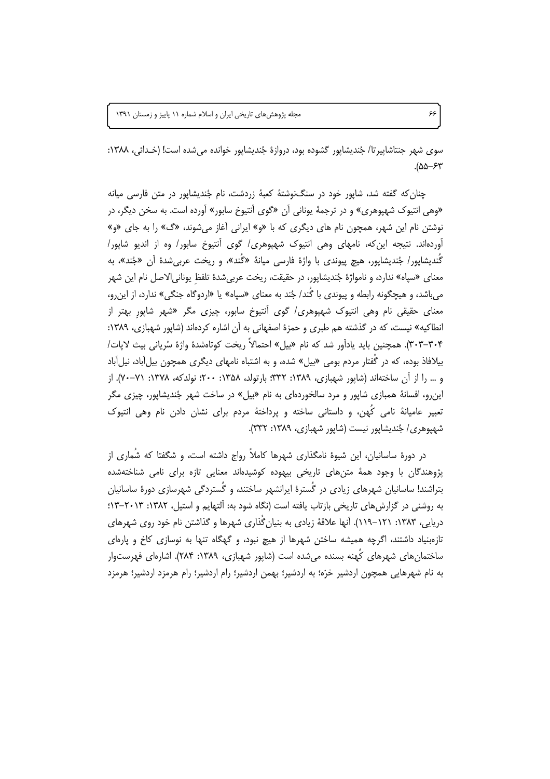مجله پژوهش های تاریخی ایران و اسلام شماره ۱۱ پاییز و زمستان ۱۳۹۱

سوي شهر جنتاشاپيرتا/ جُنديشاپور گشوده بود، دروازهٔ جُنديشاپور خوانده مي شده است! (خـدائي، ١٣٨٨:  $400 - 57$ 

چنان که گفته شد، شاپور خود در سنگنوشتهٔ کعبهٔ زردشت، نام جُندیشاپور در متن فارسی میانه «وهي انتيوک شهپوهري» و در ترجمهٔ يوناني آن «گوي آنتيوخ سابور» آورده است. به سخن ديگر، در نوشتن نام این شهر، همچون نام های دیگری که با «و» ایرانی آغاز میشوند، «گ» را به جای «و» آوردهاند. نتیجه این که، نامهای وهی انتیوک شهپوهری/ گوی آنتیوخ سابور/ وه از اندیو شاپور/ گُنديشاپور/ جُنديشاپور، هيچ پيوندي با واژهٔ فارسي ميانهٔ «گُند»، و ريخت عربي شدهٔ آن «جُند»، به معنای «سیاه» ندارد، و نامواژهٔ جُندیشایور، در حقیقت، ریخت عربی شدهٔ تلفظ یونانی الاصل نام این شهر می باشد، و هیچگونه رابطه و پیوندی با گُند/ جُند به معنای «سپاه» یا «اردوگاه جنگی» ندارد، از این رو، معنای حقیقی نام وهی انتیوک شهپوهری/ گوی آنتیوخ سابور، چیزی مگر «شهر شاپور بهتر از انطاکیه» نیست، که در گذشته هم طبری و حمزهٔ اصفهانی به آن اشاره کردهاند (شاپور شهبازی، ۱۳۸۹: ۳۰۴–۳۰۴). همچنین باید یادآور شد که نام «بیل» احتمالاً ریخت کوتاهشدهٔ واژهٔ سُریانی بیث لایات/ بیلافاذ بوده، که در گُفتار مردم بومی «بیل» شده، و به اشتباه نامهای دیگری همچون بیلآباد، نیلآباد و … را از آن ساختهاند (شایور شهبازی، ۱۳۸۹: ۳۳۲: بارتولد، ۱۳۵۸: ۲۰۰؛ نولدکه، ۱۳۷۸: ۷۱-۷۰). از این رو، افسانهٔ همبازی شاپور و مرد سالخوردهای به نام «بیل» در ساخت شهر جُندیشاپور، چیزی مگر تعبیر عامیانهٔ نامی کُهن، و داستانی ساخته و پرداختهٔ مردم برای نشان دادن نام وهی انتیوک شهپوهري/ جُنديشاپور نيست (شاپور شهبازي، ۱۳۸۹: ۳۳۲).

در دورهٔ ساسانیان، این شیوهٔ نامگذاری شهرها کاملاً رواج داشته است، و شگفتا که شُماری از پژوهندگان با وجود همهٔ متنهای تاریخی بیهوده کوشیدهاند معنایی تازه برای نامی شناختهشده بتراشند! ساسانیان شهرهای زیادی در گَسترهٔ ایرانشهر ساختند، و گَستردگی شهرسازی دورهٔ ساسانیان به روشنی در گزارشهای تاریخی بازتاب یافته است (نگاه شود به: آلتهایم و استیل، ١٣٨٢: ٢٠١٣-١٣: دریایی، ۱۳۸۳: ۱۲۱–۱۱۹). آنها علاقهٔ زیادی به بنیان گُذاری شهرها و گذاشتن نام خود روی شهرهای تازهبنیاد داشتند، اگرچه همیشه ساختن شهرها از هیچ نبود، و گهگاه تنها به نوسازی کاخ و پارهای ساختمانهای شهرهای کَهنه بسنده میشده است (شاپور شهبازی، ۱۳۸۹: ۲۸۴). اشارهای فهرستوار به نام شهرهایی همچون اردشیر خرّه؛ به اردشیر؛ بهمن اردشیر؛ رام اردشیر؛ رام هرمزد اردشیر؛ هرمزد

۶۶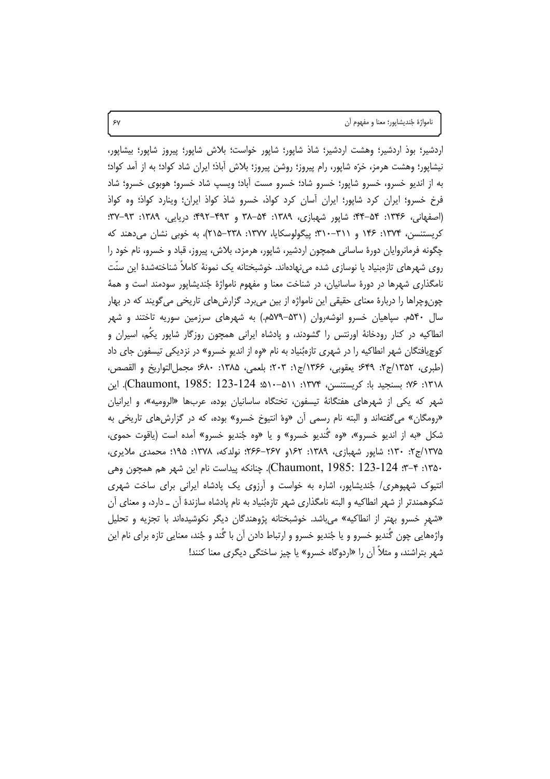نامواژهٔ جُنديشاپور؛ معنا و مفهوم آن

اردشیر؛ بوذ اردشیر؛ وهشت اردشیر؛ شاذ شاپور؛ شاپور خواست؛ بلاش شاپور؛ پیروز شاپور؛ بیشاپور، نیشاپور؛ وهشت هرمز، خرّه شاپور، رام پیروز؛ روشن پیروز؛ بلاش آباذ؛ ایران شاد کواد؛ به از آمد کواد؛ به از اندیو خسرو، خسرو شاپور؛ خسرو شاد؛ خسرو مست آباد؛ ویسپ شاد خسرو؛ هوبوی خسرو؛ شاد فرخ خسرو؛ ایران کرد شاپور؛ ایران اًسان کرد کواذ، خسرو شاذ کواذ ایران؛ وینارد کواذ؛ وه کواذ (اصفهانی، ۱۳۴۶: ۵۴–۴۴: شایور شهبازی، ۱۳۸۹: ۵۴–۴۸۲ و ۴۹۲–۴۹۲: دریایی، ۱۳۸۹: ۹۳–۳۷: کریستنسن، ۱۳۷۴: ۱۴۶ و ۳۱۱–۳۱۰؛ پیگولوسکایا، ۱۳۷۷: ۲۲۸–۲۱۵)، به خوبی نشان میدهند که چگونه فرمانروايان دورهٔ ساسانی همچون اردشير، شاپور، هرمزد، بلاش، پيروز، قباد و خسرو، نام خود را روی شهرهای تازهبنیاد یا نوسازی شده می،نهادهاند. خوشبختانه یک نمونهٔ کاملاً شناختهشدهٔ این سنّت نامگذاری شهرها در دورهٔ ساسانیان، در شناخت معنا و مفهوم نامواژهٔ جُندیشاپور سودمند است و همهٔ چون<code>وچراھا</code> را دربارۂ معنای حقیقی این نامواژه از بین می برد. گزارشهای تاریخی می گویند که در بهار سال ۵۴۰م. سپاهیان خسرو انوشهروان (۵۳۱–۵۷۹م.) به شهرهای سرزمین سوریه تاختند و شهر انطاکیه در کنار رودخانهٔ اورنتس را گشودند، و پادشاه ایرانی همچون روزگار شاپور یکّم، اسیران و کوچیافتگان شهر انطاکیه را در شهری تازهبُنیاد به نام «وه از اندیو خسرو» در نزدیکی تیسفون جای داد (طبري، ١٣۵٢/ج٢: ۶۴٩؛ يعقوبي، ١٣۶۶/ج١: ٢٠٣؛ بلعمي، ١٣٨۵: ۶٨٠؛ مجمل التواريخ و القصص، ۱۳۱۸: ۷۶؛ بسنجید با: کریستنسن، ۱۳۷۴: ۵۱۱–۱۵۹؛ Chaumont, 1985: 123-124). این شهر که یکی از شهرهای هفتگانهٔ تیسفون، تختگاه ساسانیان بوده، عربها «الرومیه»، و ایرانیان «رومگان» میگفتهاند و البته نام رسمی أن «وهْ انتیوخ خسرو» بوده، که در گزارشهای تاریخی به شکل «به از اندیو خسرو»، «وه گُندیو خسرو» و یا «وه جُندیو خسرو» امده است (یاقوت حموی، ۱۳۷۵/ج۲: ۱۳۰؛ شایور شهبازی، ۱۳۸۹: ۱۶۲و ۲۶۷–۲۶۶؛ نولدکه، ۱۳۷۸: ۱۹۵؛ محمدی ملایری، ۱۳۵۰: ۳–۳: Chaumont, 1985: 123-124). چنانکه پیداست نام این شهر هم همچون وهی انتیوک شهپوهری/ جُندیشاپور، اشاره به خواست و آرزوی یک پادشاه ایرانی برای ساخت شهری شکوهمندتر از شهر انطاکیه و البته نامگذاری شهر تازهبُنیاد به نام یادشاه سازندهٔ آن ــ دارد، و معنای آن «شهر خسرو بهتر از انطاكیه» می باشد. خوشبختانه پژوهندگان دیگر نكوشیدهاند با تجزیه و تحلیل واژههایی چون گُندیو خسرو و یا جُندیو خسرو و ارتباط دادن آن با گُند و جُند، معنایی تازه برای نام این شهر بتراشند، و مثلاً آن را «اردوگاه خسرو» یا چیز ساختگی دیگری معنا کنند!

 $5y$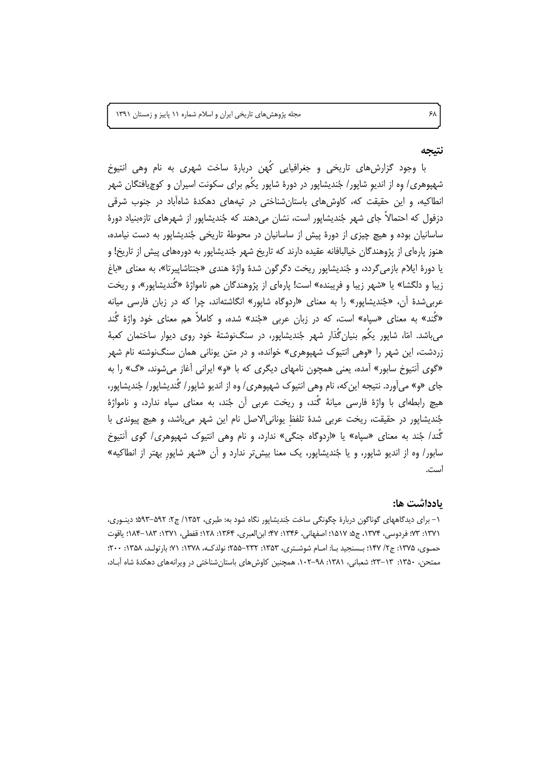مجله پژوهشهای تاریخی ایران و اسلام شماره ١١ پاییز و زمستان ١٣٩١

### نتىحە

با وجود گزارش های تاریخی و جغرافیایی کُهن دربارهٔ ساخت شهری به نام وهی انتیوخ شهپوهری/ وه از اندیو شاپور/ جُندیشاپور در دورهٔ شاپور یکُم برای سکونت اسیران و کوچیافتگان شهر انطاکیه، و این حقیقت که، کاوش های باستان شناختی در تیههای دهکدهٔ شاهآباد در جنوب شرقی دزفول که احتمالاً جای شهر جُندیشایور است، نشان می(دهند که جُندیشایور از شهرهای تازهبنیاد دورهٔ ساسانیان بوده و هیچ چیزی از دورهٔ پیش از ساسانیان در محوطهٔ تاریخی جُندیشاپور به دست نیامده، هنوز پارهای از پژوهندگان خیالبافانه عقیده دارند که تاریخ شهر جُندیشاپور به دورههای پیش از تاریخ! و یا دورهٔ ایلام بازمی گردد، و جُندیشاپور ریخت دگرگون شدهٔ واژهٔ هندی «جنتاشاپیرتا»، به معنای «باغ زیبا و دلگشا» یا «شهر زیبا و فریبنده» است! پارهای از پژوهندگان هم نامواژهٔ «گَندیشاپور»، و ریخت عربي شدهٔ آن، «جُنديشايور» را به معناي «اردوگاه شايور» انگاشتهاند، چرا كه در زبان فارسي ميانه «گُند» به معنای «سیاه» است، که در زبان عربی «جُند» شده، و کاملاً هم معنای خود واژهٔ گَند می باشد. امّا، شاپور یکُم بنیانِ گُذار شهر جُندیشاپور، در سنگ(نوشتهٔ خود روی دیوار ساختمان کعبهٔ زردشت، این شهر را «وهی انتیوک شهیوهری» خوانده، و در متن یونانی همان سنگنوشته نام شهر «گوی اَنتیوخ سابور» اَمده، یعنی همچون نامهای دیگری که با «و» ایرانی اَغاز می شوند، «گ» را به جای «و» می آورد. نتیجه این که، نام وهی انتیوک شهیوهری/ وه از اندیو شایور/ گُندیشایور/ جُندیشایور، هیچ رابطهای با واژهٔ فارسی میانهٔ گُند، و ریخت عربی آن جُند، به معنای سیاه ندارد، و نامواژهٔ جُنديشايور در حقيقت، ريخت عربي شدة تلفظ يوناني الاصل نام اين شهر مي باشد، و هيچ پيوندي با گُند/ جُند به معنای «سپاه» یا «اردوگاه جنگی» ندارد، و نام وهی انتیوک شهپوهری/ گوی انتیوخ سابور/ وه از اندیو شایور، و یا جُندیشایور، یک معنا بیش تر ندارد و آن «شهر شایور بهتر از انطاکیه» است.

#### ىادداشت ھا:

۱- برای دیدگاههای گوناگون دربارهٔ چگونگی ساخت جُندیشاپور نگاه شود به: طبری، ۱۳۵۲/ ج۲: ۵۹۲-۵۹۳؛ دینوری، ١٣٧١: ٧٣: فردوسي، ١٣٧۴، ج2: ١٥١٧: اصفهاني، ١٣٤۶: ٢٧: ابن|لعبري، ١٣۶۴: ١٢٨: قفطي، ١٣٧١: ١٨٣-١٨۴: ياقوت حمـوي، ۱۳۷۵: ج۲/ ۱۴۷؛ بـسنجيد بـا: امـام شوشـتري، ۱۳۵۳: ۲۳۲–۲۵۵؛ نولدکـه، ۱۳۷۸: ۷۱؛ بارتولـد، ۱۳۵۸: ۲۰۰؛ ممتحن، ۱۳۵۰: ١٣-٢٣: شعباني، ١٣٨١: ٩٨-١٠٢. همچنين كاوش هاى باستان شناختى در ويرانههاى دهكدة شاه أباد،

۶λ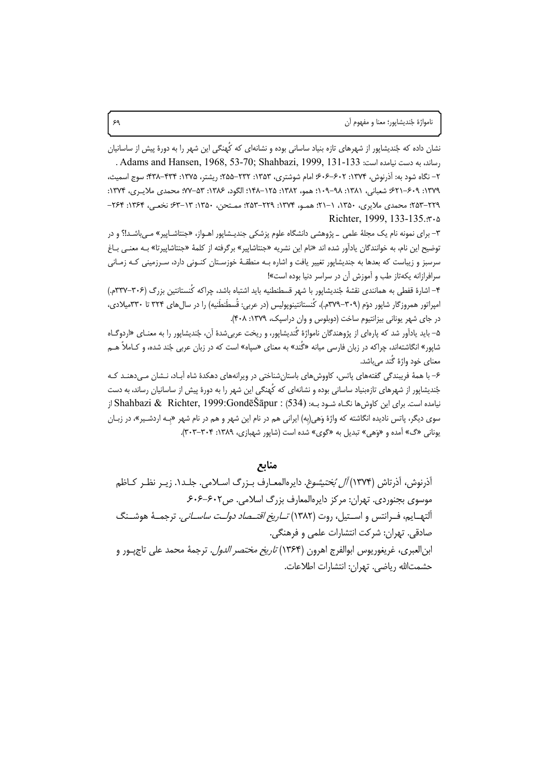نشان داده که جُندیشاپور از شهرهای تازه بنیاد ساسانی بوده و نشانهای که کُهنگی این شهر را به دورهٔ پیش از ساسانیان . Adams and Hansen, 1968, 53-70; Shahbazi, 1999, 131-133 . ماند، به دست نيامده است: 433-131. ۲– نگاه شود به: آذرنوش، ۱۳۷۴: ۶۰۲–۶۰۶؛ امام شوشتری، ۱۳۵۳: ۲۳۲–۲۵۵؛ ریشتر، ۱۳۷۵: ۴۳۴–۴۳۸؛ سوج اسمیث، ١٣٧٩: ٤٠٩–٤٢١: شعباني، ١٣٨١: ٩٨–١٠٩؛ همو، ١٣٨٢: ١٢۵–١٤٨: الگود، ١٣٨٤: ٥٣–٧٧: محمدي ملايـري، ١٣٧۴: ٢٢٩–٢۵٣: محمدي ملايري، ١٣۵٠، ١–٢١: همـو، ١٣٧۴: ٢٢٩–٢۵٣: ممـتحن، ١٣۵٠: ١٣-۶٣: نخعـي، ٢۶۴: ٢۶۴-Richter, 1999, 133-135. r. a

۳- برای نمونه نام یک مجلهٔ علمی \_ پژوهشی دانشگاه علوم پزشکی جندیـشاپور اهـواز، «جنتاشـاپیر» مـی.باشـد!؟ و در توضيح اين نام، به خوانندگان يادآور شده اند «نام اين نشريه «جنتاشايير» برگرفته از كلمهٔ «جنتاشاييرتا» بـه معنـي بـاغ سرسبز و زیباست که بعدها به جندیشایور تغییر یافت و اشاره بـه منطقـهٔ خوزسـتان کنـونی دارد، سـرزمینی کـه زمـانی سرافرازانه یکهتاز طب و آموزش آن در سراسر دنیا بوده است»!

۴– اشارهٔ قفطی به همانندی نقشهٔ جُندیشاپور با شهر قسطنطنیه باید اشتباه باشد، چراکه کُنستانتین بزرگ (۳۰۶–۳۳۷م.) امپراتور همروزگار شاپور دوّم (۳۰۹–۳۷۹م.)، کُنستانتینوپولیس (در عربی: قُسطَنطَنیه) را در سال های ۳۲۴ تا ۳۳۰میلادی، در جای شهر یونانی بیزانتیوم ساخت (دوبلوس و وان دراسیک، ۱۳۷۹: ۴۰۸).

۵– باید یادآور شد که پارهای از پژوهندگان نامواژهٔ کُندیشاپور، و ریخت عربی شدهٔ آن، جُندیشاپور را به معنـای «اردوگــاه شاپور» انگاشتهاند، چراکه در زبان فارسی میانه «گُند» به معنای «سپاه» است که در زبان عربی جُند شده، و کـاملاً هــم معنای خود واژهٔ گُند میباشد.

۶– با همهٔ فریبندگی گفتههای پاتس، کاووش۵های باستانِشناختی در ویرانههای دهکدهٔ شاه آبـاد، نـشان مـیدهنـد کـه جُندیشاپور از شهرهای تازمبنیاد ساسانی بوده و نشانهای که کُهنگی این شهر را به دورهٔ پیش از ساسانیان رساند، به دست نیامده است. برای این کاوش ها نگــاه شــود بــه: Shahbazi & Richter, 1999:GondēŠāpur : (534) از سوی دیگر، پاتس نادیده انگاشته که واژهٔ وَهی(به) ایرانی هم در نام این شهر و هم در نام شهر «بـه اردشـیر»، در زبـان یونانی «گ» آمده و «وَهی» تبدیل به «گوی» شده است (شاپور شهبازی، ۱۳۸۹: ۳۰۴-۳۰۳).

منابع

آذرنوش، آذرتاش (۱۳۷۴) *آل بُختيشوعْ*. دايرەالمعـارف بـزرگ اسـلامي. جلـد١. زيـر نظـر كـاظم موسوی بجنوردی. تهران: مرکز دایرهالمعارف بزرگ اسلامی. ص۶۰۲-۶۰۶. .<br>التهــايم، فــرانتس و اســتيل، روت (١٣٨٢) *تــاريخ اقتــصاد دولــت ساســانـ ,*. ترجمــهٔ هوشــنگ صادقي. تهران: شركت انتشارات علمي و فرهنگي. ابن|لعبرى، غريغوريوس ابوالفرج اهرون (١٣۶۴) *تاريخ مختصر الدول*. ترجمهٔ محمد على تاج پور و حشمتالله رياضي. تهران: انتشارات اطلاعات.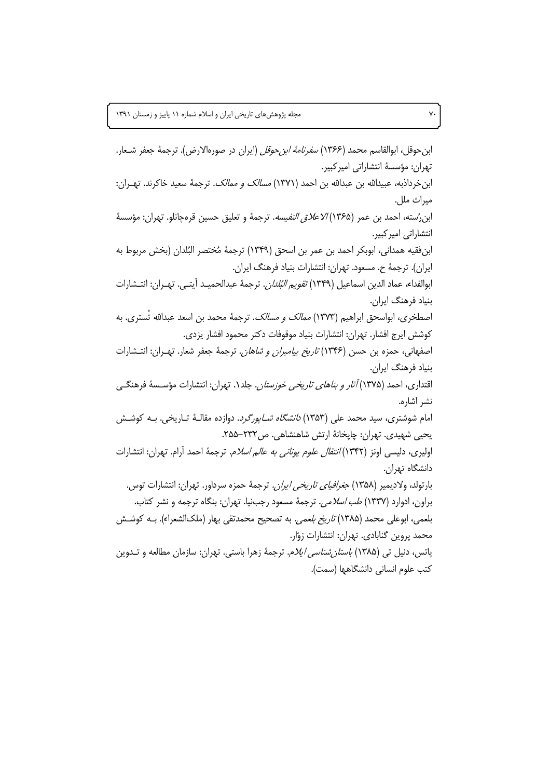ابن حوقل، ابوالقاسم محمد (۱۳۶۶) *سفرنامهٔ ابن حوقل* (ایران در صورهالارض). ترجمهٔ جعفر شـعار. تھران: مؤسسهٔ انتشاراتی امیر کبیر. ابن خرداذبه، عبیدالله بن عبدالله بن احمد (١٣٧١) *مسالک و ممالک.* ترجمهٔ سعید خاکرند. تهـران: ميراث ملل. ابن رُسته، احمد بن عمر (١٣۶۵) *الاعلاق النفيسه*. ترجمهٔ و تعليق حسين قرهجانلو. تهران: مؤسسهٔ انتشاراتى اميركبير. ابن فقيه همداني، ابوبكر احمد بن عمر بن اسحق (١٣٣٩) ترجمةً مُختصر البُلدان (بخش مربوط به ايران). ترجمهٔ ح. مسعود. تهران: انتشارات بنياد فرهنگ ايران. ابوالفداء، عماد الدين اسماعيل (١٣۴٩) *تقويم البُلدان*. ترجمة عبدالحميـد آيتـي. تهـران: انتـشارات بنیاد فرهنگ ایران. اصطخرى، ابواسحق ابراهيم (١٣٧٣) *ممالک و مسالک.* ترجمهٔ محمد بن اسعد عبدالله تَسترى. به كوشش ايرج افشار. تهران: انتشارات بنياد موقوفات دكتر محمود افشار يزدي. اصفهانی، حمزه بن حسن (۱۳۴۶) *تاریخ پیامبران و شاهان*. ترجمهٔ جعفر شعار. تهـران: انتـشارات بنیاد فرهنگ ایران. اقتداری، احمد (۱۳۷۵) *آثار و بناهای تاریخی خوزستان*. جلد۱. تهران: انتشارات مؤسـسهٔ فرهنگـی نشر اشاره. امام شوشتری، سید محمد علی (۱۳۵۳) *دانشگاه شـاپورگرد*. دوازده مقالـهٔ تـاریخی. بــه کوشــش یحیے شهیدی. تهران: چایخانهٔ ارتش شاهنشاهی. ص۲۳۲–۲۵۵. اولیری، دلیسی اونز (۱۳۴۲*) انتقال علوم یونانی به عالم اسلام.* ترجمهٔ احمد آرام. تهران: انتشارات دانشگاه تهران. بارتولد، ولاديمير (١٣۵٨) *جغرافياي تاريخي ايران.* ترجمهٔ حمزه سرداور. تهران: انتشارات توس. براون، ادوارد (۱۳۳۷) *طب اسلامی.* ترجمهٔ مسعود رجبنیا. تهران: بنگاه ترجمه و نشر کتاب. بلعمي، ابوعلي محمد (١٣٨۵) *تاريخ بلعمي.* به تصحيح محمدتقي بهار (ملكالشعراء). بـه كوشـش محمد پروین گنابادی. تهران: انتشارات زوّار. یاتس، دنیل تی (۱۳۸۵) *باستان شناسی ایلام*. ترجمهٔ زهرا باستی. تهران: سازمان مطالعه و تــدوین كتب علوم انساني دانشگاهها (سمت).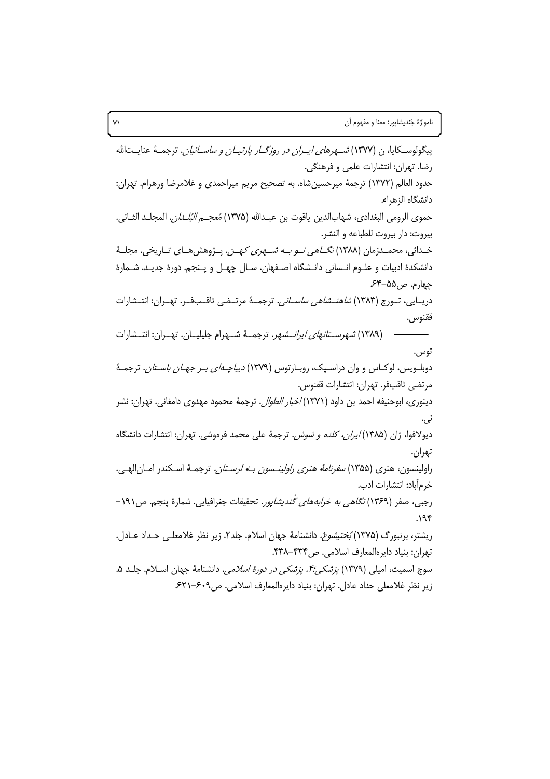پیگولوسـکایا، ن (۱۳۷۷) *شـهرهای ایـران در روزگــار پارتیــان و ساســانیان.* ترجمــهٔ عنایــتالله رضا. تهران: انتشارات علمي و فرهنگي. حدود العالم (١٣٧٢) ترجمهٔ میرحسینِشاه. به تصحیح مریم میراحمدی و غلامرضا ورهرام. تهران: دانشگاه الزهرا**ء**. حموي الرومي البغدادي، شهابالدين ياقوت بن عبـدالله (١٣٧۵) *مُعجــم البُلــدان.* المجلــد الثــاني. بيروت: دار بيروت للطباعه و النشر. خـدائی، محمــدزمان (۱۳۸۸) *نگــاهی نــو بــه شـــهری کـهــز .* پــژوهش هــای تــاریخی. مجلــهٔ دانشكدهٔ ادبیات و علـوم انـسانی دانـشگاه اصـفهان. سـال چهـل و پـنجم. دورهٔ جدیـد. شـمارهٔ چهارم. ص۵۵–۶۴. دريــايي، تــورج (١٣٨٣) *شاهنــشاهي ساســاني.* ترجمــهٔ مرتــضي ثاقــبـفــر. تهــران: انتــشارات ققنوس. (۱۳۸۹) *شهرستانهای ایرانسهر*. ترجمهٔ شـهرام جلیلیــان. تهــران: انتــشارات توس . دوبلــویس، لوکــاس و وان دراســیک، روبــارتوس (۱۳۷۹) *دیباچــهای بــر جهــان باســتان.* ترجمــهٔ مرتضى ثاقبفر. تهران: انتشارات ققنوس. دينوري، ابوحنيفه احمد بن داود (١٣٧١) *اخبار الطوال*. ترجمهٔ محمود مهدوى دامغاني. تهران: نشر نې. دیولافوا، ژان (۱۳۸۵*) ایران، کلده و شوش.* ترجمهٔ علی محمد فرهوشی. تهران: انتشارات دانشگاه تهران. راولينسون، هنري (۱۳۵۵) *سفرنامهٔ هنري راولينـسون بـه لرسـتان.* ترجمـهٔ اسـكندر امـان|لهـي. خر مأباد: انتشارات ادب. رجبي، صفر (۱۳۶۹) *نگاهي به خرابههاي گُنديشاپور*. تحقيقات جغرافيايي. شمارهٔ پنجم. ص۱۹۱- $.195$ ریشتر، برنبورگ (۱۳۷۵) *بُختیشوعْ.* دانشنامهٔ جهان اسلام. جلد۲. زیر نظر غلامعلـی حـداد عـادل. تهران: بنياد دايرهالمعارف اسلامي. ص۴۳۴-۴۳۸. سوج اسمیث، امیلی (۱۳۷۹) *پزشکی:۴۰. پزشکی در دورهٔ اسلامی.* دانشنامهٔ جهان اسـلام. جلـد ۵. زیر نظر غلامعلی حداد عادل. تهران: بنیاد دایرهالمعارف اسلامی. ص۶۰۹–۶۲۱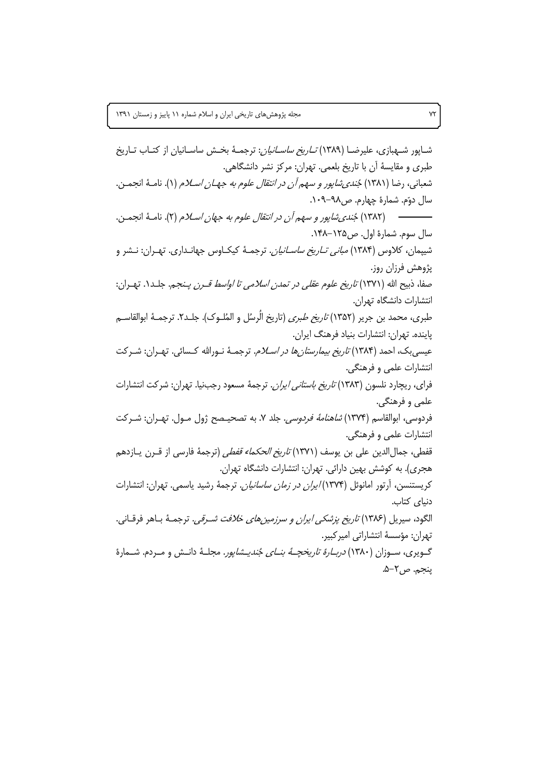شـایور شـهبازی، علیرضـا (۱۳۸۹) *تـاریخ ساسـانیان*: ترجمـهٔ بخـش ساسـانیان از کتـاب تـاریخ طبري و مقايسهٔ آن با تاريخ بلعمي. تهران: مركز نشر دانشگاهي. شعباني، رضا (١٣٨١) جُن*دي شاپور و سهم أن در انتقال علوم به جهــان اســلام* (١). نامــهٔ انجمــن. سال دوّم. شمارهٔ چهارم. ص۹۸–۱۰۹. سال سوم. شمارة اول. ص١٢۵-١۴٨. شییمان، کلاوس (۱۳۸۴) *مبانی تـاریخ ساسـانیان.* ترجمـهٔ کیکـاوس جهانـداری. تهـران: نــشر و پژوهش فرزان روز. صفا، ذبيح الله (١٣٧١) *تاريخ علوم عقلي در تمدن اسلامي تا اواسط قـرن پـنجم.* جلـد١. تهـران: انتشارات دانشگاه تهران. طبري، محمد بن جرير (١٣۵٢) *تاريخ طبري* (تاريخ الُرسُل و المُلــوِک). جلــدY. ترجمــهٔ ابوالقاســم ياينده. تهران: انتشارات بنياد فرهنگ ايران. عیسی بک، احمد (۱۳۸۴) *تاریخ بیمارستان ها در اسـلام*. ترجمـهٔ نـورالله کـسائی. تهـران: شـرکت انتشارات علمی و فرهنگی. فرای، ریچارد نلسون (۱۳۸۳) *تاریخ باستانی ایران*. ترجمهٔ مسعود رجبنیا. تهران: شرکت انتشارات علمي و فرهنگي. فردوسي، ابوالقاسم (١٣٧۴) *شاهنامهٔ فردوسي*. جلد ٧. به تصحيـصح ژول مـول. تهـران: شـركت انتشارات علمی و فرهنگی. قفطي، جمالالدين على بن يوسف (١٣٧١) *تاريخ الحكماء قفطي* (ترجمهٔ فارسي از قــرن يــازدهم هجری). به کوشش بهین دارائی. تهران: انتشارات دانشگاه تهران. کریستنسن، آرتور امانوئل (۱۳۷۴)/*یران در زمان ساسانیان.* ترجمهٔ رشید یاسمی. تهران: انتشارات دنياى كتاب. الگود، سيريل (١٣٨۶) *تاريخ پزشكي ايران و سرزمين هاي خلافت شـرقي.* ترجمـهٔ بـاهر فرقـاني. تھران: مؤسسهٔ انتشاراتی امیر کبیر. گـویری، سـوزان (۱۳۸۰) *دربـارهٔ تاریخچـهٔ بنـای جُندیـشاپور*. مجلـهٔ دانـش و مـردم. شـمارهٔ ينجم. ص٢-۵.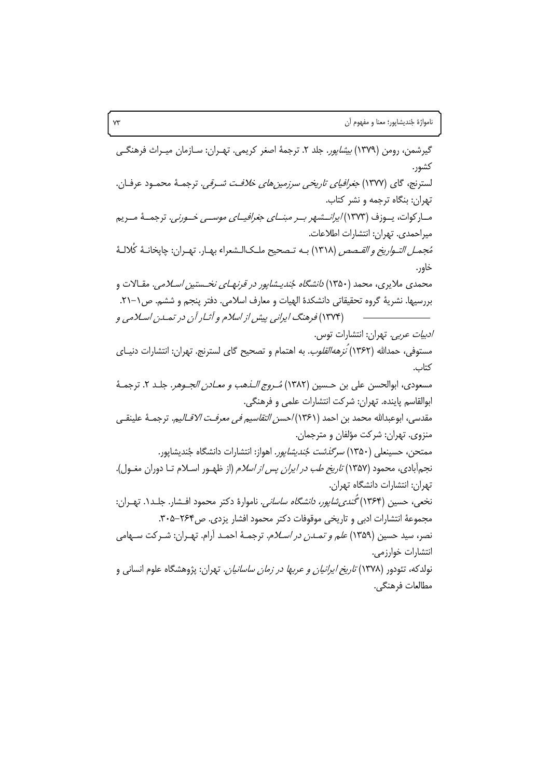گیرشمن، رومن (۱۳۷۹) *بیشاپور*. جلد ۲. ترجمهٔ اصغر کریمی. تهـران: سـازمان میـراث فرهنگــی كشور. لسترنج، گای (۱۳۷۷) *جغرافیای تاریخی سرزمینهای خلافت شرقی.* ترجمـهٔ محمـود عرفـان. تهران: بنگاه ترجمه و نشر کتاب. مبار کوات، پیوزف (۱۳۷۳*) ایرانسشهر بیر مبنیای جغرافییای موسیی خیورنی.* ترجمیهٔ میریم ميراحمدي. تهران: انتشارات اطلاعات. مُج*مل التـواريخ و القـصص* (١٣١٨) بـه تـصحيح ملـكالـشعراء بهـار. تهـران: چايخانـهٔ كُلالـهٔ خاور. محمدی ملایری، محمد (۱۳۵۰) *دانشگاه جُندیـشاپور در قرنهـای نخـستین اسـلامی*. مقـالات و بررسيها. نشريةً گروه تحقيقاتي دانشكدة الهيات و معارف اسلامي. دفتر ينجم و ششم. ص١-٢١. (۱۳۷۴) فرهنگ ایرانی پیش از اسلام و آثـار آن در تمـدن اسـلامی و *ادبیات عربی.* تهران: انتشارات توس. مستوفی، حمدالله (۱۳۶۲) *نزهه القلوب*. به اهتمام و تصحیح گای لسترنج. تهران: انتشارات دنیـای كتاب. مسعودي، ابوالحسن علي بن حسين (١٣٨٢) *مُـروج الـذهب و معـادن الجـوهر*. جلـد ٢. ترجمـهٔ ابوالقاسم پاینده. تهران: شركت انتشارات علمی و فرهنگی. مقدسي، ابوعبدالله محمد بن احمد (١٣۶١)/حس*ن التقاسيم في معرفت الاقــالي*م. ترجمــهٔ علينقــي منزوي. تهران: شركت مؤلفان و مترجمان. ممتحن، حسینعلی (۱۳۵۰) *سرگذشت جُندیشایور*. اهواز: انتشارات دانشگاه جُندیشایور. نجم آبادی، محمود (۱۳۵۷) *تاریخ طب در ایران پس از اسلام* (از ظهـور اسـلام تـا دوران مغـول). تهران: انتشارات دانشگاه تهران. نخعي، حسين (١٣۶۴) *گُندي شايور، دانشگاه ساساني.* ناموارهٔ دکتر محمود افـشار. جلـد١. تهـران: مجموعة انتشارات ادبی و تاریخی موقوفات دکتر محمود افشار یزدی. ص۲۶۴–۳۰۵. نصر، سيد حسين (١٣۵٩) *علم و تمـدن در اسـلام*. ترجمـهٔ احمـد آرام. تهـران: شـركت سـهامي انتشارات خوارزمے.. نولدکه، تئودور (۱۳۷۸) *تاریخ ایرانیان و عربها در زمان ساسانیان.* تهران: پژوهشگاه علوم انسانی و مطالعات فرهنگي.